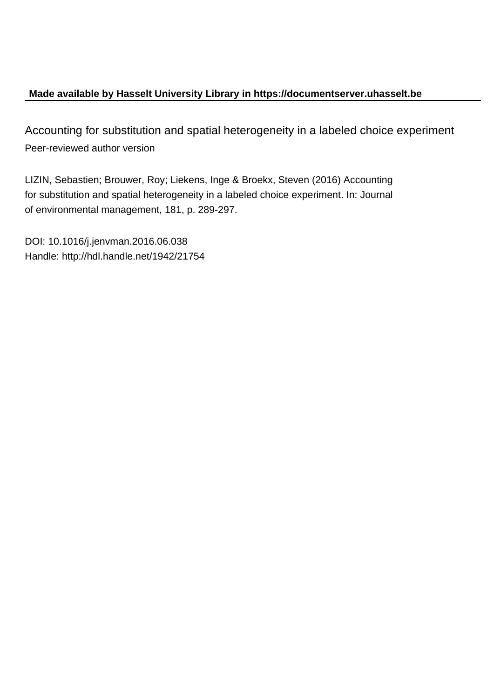# **Made available by Hasselt University Library in https://documentserver.uhasselt.be**

Accounting for substitution and spatial heterogeneity in a labeled choice experiment Peer-reviewed author version

LIZIN, Sebastien; Brouwer, Roy; Liekens, Inge & Broekx, Steven (2016) Accounting for substitution and spatial heterogeneity in a labeled choice experiment. In: Journal of environmental management, 181, p. 289-297.

DOI: 10.1016/j.jenvman.2016.06.038 Handle: http://hdl.handle.net/1942/21754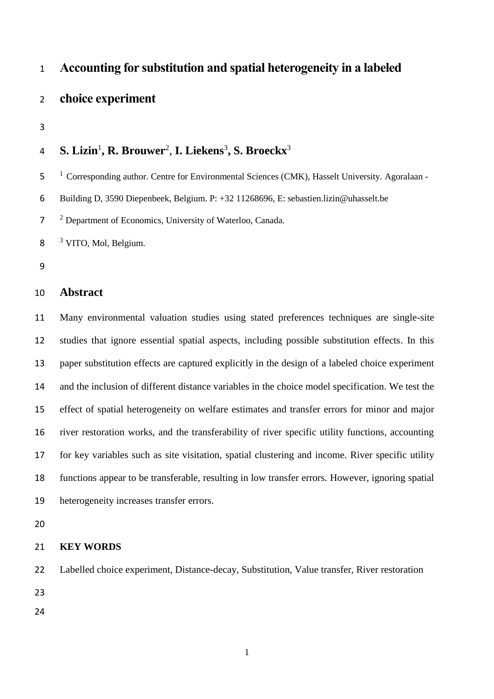# **Accounting for substitution and spatial heterogeneity in a labeled choice experiment**

#### ${\bf S. \ Lizin^1, \ R. \ Brouwer^2, \ I. \ Liekens^3, \ S. \ Broeckx^3}$

5<sup>1</sup> Corresponding author. Centre for Environmental Sciences (CMK), Hasselt University. Agoralaan -

Building D, 3590 Diepenbeek, Belgium. P: +32 11268696, E: sebastien.lizin@uhasselt.be

<sup>2</sup> Department of Economics, University of Waterloo, Canada.

8 <sup>3</sup> VITO, Mol, Belgium.

# **Abstract**

 Many environmental valuation studies using stated preferences techniques are single-site studies that ignore essential spatial aspects, including possible substitution effects. In this paper substitution effects are captured explicitly in the design of a labeled choice experiment and the inclusion of different distance variables in the choice model specification. We test the effect of spatial heterogeneity on welfare estimates and transfer errors for minor and major river restoration works, and the transferability of river specific utility functions, accounting for key variables such as site visitation, spatial clustering and income. River specific utility functions appear to be transferable, resulting in low transfer errors. However, ignoring spatial heterogeneity increases transfer errors.

## **KEY WORDS**

22 Labelled choice experiment, Distance-decay, Substitution, Value transfer, River restoration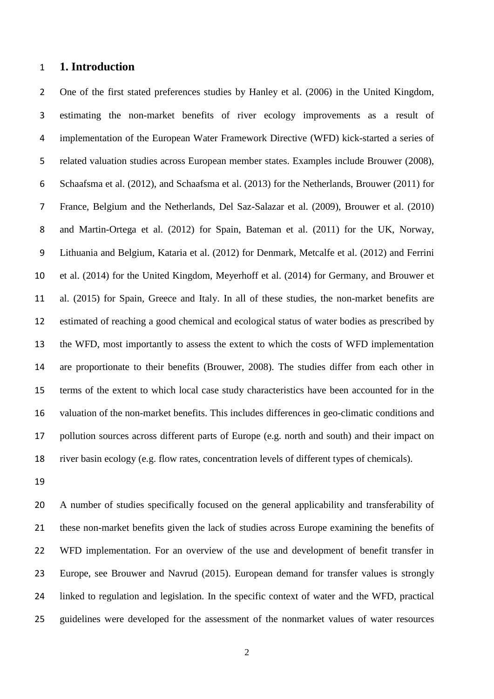# **1. Introduction**

 One of the first stated preferences studies by Hanley et al. (2006) in the United Kingdom, estimating the non-market benefits of river ecology improvements as a result of implementation of the European Water Framework Directive (WFD) kick-started a series of related valuation studies across European member states. Examples include Brouwer (2008), Schaafsma et al. (2012), and Schaafsma et al. (2013) for the Netherlands, Brouwer (2011) for France, Belgium and the Netherlands, Del Saz-Salazar et al. (2009), Brouwer et al. (2010) and Martin-Ortega et al. (2012) for Spain, Bateman et al. (2011) for the UK, Norway, Lithuania and Belgium, Kataria et al. (2012) for Denmark, Metcalfe et al. (2012) and Ferrini et al. (2014) for the United Kingdom, Meyerhoff et al. (2014) for Germany, and Brouwer et al. (2015) for Spain, Greece and Italy. In all of these studies, the non-market benefits are estimated of reaching a good chemical and ecological status of water bodies as prescribed by the WFD, most importantly to assess the extent to which the costs of WFD implementation are proportionate to their benefits (Brouwer, 2008). The studies differ from each other in terms of the extent to which local case study characteristics have been accounted for in the valuation of the non-market benefits. This includes differences in geo-climatic conditions and pollution sources across different parts of Europe (e.g. north and south) and their impact on river basin ecology (e.g. flow rates, concentration levels of different types of chemicals).

 A number of studies specifically focused on the general applicability and transferability of these non-market benefits given the lack of studies across Europe examining the benefits of WFD implementation. For an overview of the use and development of benefit transfer in Europe, see Brouwer and Navrud (2015). European demand for transfer values is strongly linked to regulation and legislation. In the specific context of water and the WFD, practical guidelines were developed for the assessment of the nonmarket values of water resources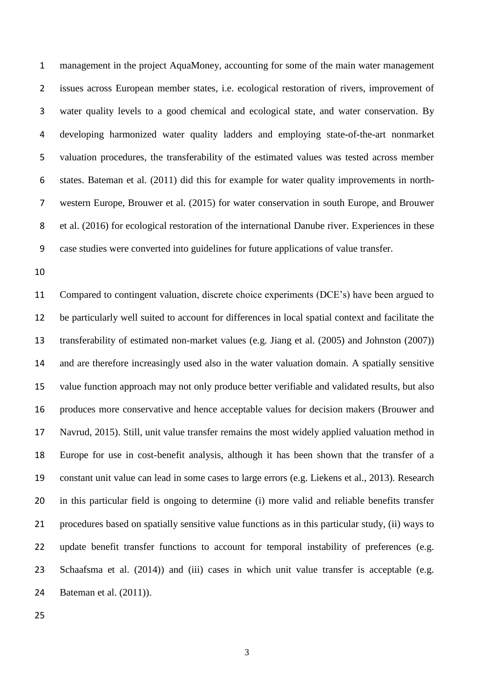management in the project AquaMoney, accounting for some of the main water management issues across European member states, i.e. ecological restoration of rivers, improvement of water quality levels to a good chemical and ecological state, and water conservation. By developing harmonized water quality ladders and employing state-of-the-art nonmarket valuation procedures, the transferability of the estimated values was tested across member states. Bateman et al. (2011) did this for example for water quality improvements in north- western Europe, Brouwer et al. (2015) for water conservation in south Europe, and Brouwer et al. (2016) for ecological restoration of the international Danube river. Experiences in these case studies were converted into guidelines for future applications of value transfer.

 Compared to contingent valuation, discrete choice experiments (DCE's) have been argued to be particularly well suited to account for differences in local spatial context and facilitate the transferability of estimated non-market values (e.g. Jiang et al. (2005) and Johnston (2007)) and are therefore increasingly used also in the water valuation domain. A spatially sensitive value function approach may not only produce better verifiable and validated results, but also produces more conservative and hence acceptable values for decision makers (Brouwer and Navrud, 2015). Still, unit value transfer remains the most widely applied valuation method in Europe for use in cost-benefit analysis, although it has been shown that the transfer of a constant unit value can lead in some cases to large errors (e.g. Liekens et al., 2013). Research in this particular field is ongoing to determine (i) more valid and reliable benefits transfer procedures based on spatially sensitive value functions as in this particular study, (ii) ways to 22 update benefit transfer functions to account for temporal instability of preferences (e.g. 23 Schaafsma et al. (2014)) and (iii) cases in which unit value transfer is acceptable (e.g. Bateman et al. (2011)).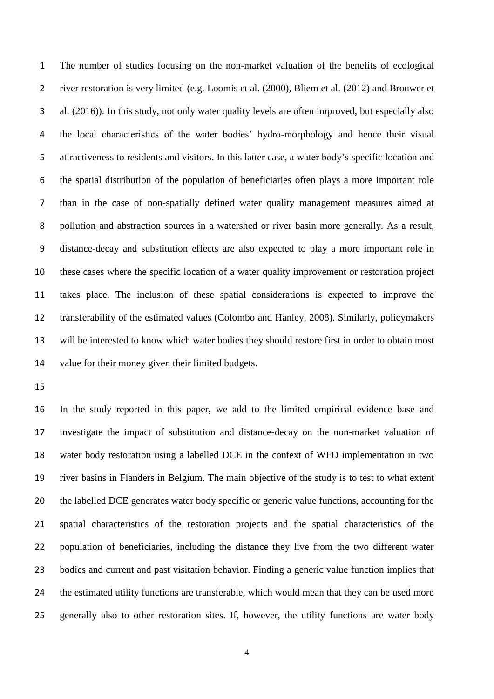The number of studies focusing on the non-market valuation of the benefits of ecological river restoration is very limited (e.g. Loomis et al. (2000), Bliem et al. (2012) and Brouwer et al. (2016)). In this study, not only water quality levels are often improved, but especially also the local characteristics of the water bodies' hydro-morphology and hence their visual attractiveness to residents and visitors. In this latter case, a water body's specific location and the spatial distribution of the population of beneficiaries often plays a more important role than in the case of non-spatially defined water quality management measures aimed at pollution and abstraction sources in a watershed or river basin more generally. As a result, distance-decay and substitution effects are also expected to play a more important role in these cases where the specific location of a water quality improvement or restoration project takes place. The inclusion of these spatial considerations is expected to improve the transferability of the estimated values (Colombo and Hanley, 2008). Similarly, policymakers will be interested to know which water bodies they should restore first in order to obtain most value for their money given their limited budgets.

 In the study reported in this paper, we add to the limited empirical evidence base and investigate the impact of substitution and distance-decay on the non-market valuation of water body restoration using a labelled DCE in the context of WFD implementation in two river basins in Flanders in Belgium. The main objective of the study is to test to what extent the labelled DCE generates water body specific or generic value functions, accounting for the spatial characteristics of the restoration projects and the spatial characteristics of the population of beneficiaries, including the distance they live from the two different water bodies and current and past visitation behavior. Finding a generic value function implies that the estimated utility functions are transferable, which would mean that they can be used more generally also to other restoration sites. If, however, the utility functions are water body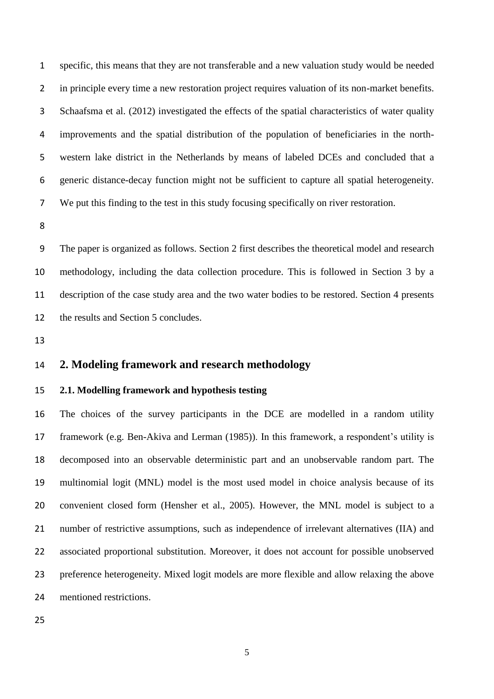specific, this means that they are not transferable and a new valuation study would be needed in principle every time a new restoration project requires valuation of its non-market benefits. Schaafsma et al. (2012) investigated the effects of the spatial characteristics of water quality improvements and the spatial distribution of the population of beneficiaries in the north- western lake district in the Netherlands by means of labeled DCEs and concluded that a generic distance-decay function might not be sufficient to capture all spatial heterogeneity. We put this finding to the test in this study focusing specifically on river restoration.

 The paper is organized as follows. Section 2 first describes the theoretical model and research methodology, including the data collection procedure. This is followed in Section 3 by a description of the case study area and the two water bodies to be restored. Section 4 presents the results and Section 5 concludes.

# **2. Modeling framework and research methodology**

#### **2.1. Modelling framework and hypothesis testing**

 The choices of the survey participants in the DCE are modelled in a random utility framework (e.g. Ben-Akiva and Lerman (1985)). In this framework, a respondent's utility is decomposed into an observable deterministic part and an unobservable random part. The multinomial logit (MNL) model is the most used model in choice analysis because of its 20 convenient closed form (Hensher et al., 2005). However, the MNL model is subject to a number of restrictive assumptions, such as independence of irrelevant alternatives (IIA) and associated proportional substitution. Moreover, it does not account for possible unobserved preference heterogeneity. Mixed logit models are more flexible and allow relaxing the above mentioned restrictions.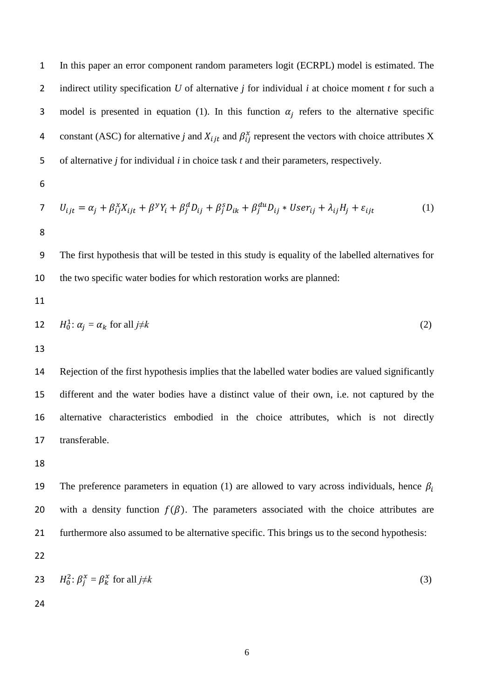In this paper an error component random parameters logit (ECRPL) model is estimated. The indirect utility specification *U* of alternative *j* for individual *i* at choice moment *t* for such a 3 model is presented in equation (1). In this function  $\alpha_j$  refers to the alternative specific 4 constant (ASC) for alternative *j* and  $X_{ijt}$  and  $\beta_{ij}^x$  represent the vectors with choice attributes X of alternative *j* for individual *i* in choice task *t* and their parameters, respectively.

7 
$$
U_{ijt} = \alpha_j + \beta_{ij}^x X_{ijt} + \beta^y Y_i + \beta_j^d D_{ij} + \beta_j^s D_{ik} + \beta_j^{du} D_{ij} * User_{ij} + \lambda_{ij} H_j + \varepsilon_{ijt}
$$
 (1)

 The first hypothesis that will be tested in this study is equality of the labelled alternatives for the two specific water bodies for which restoration works are planned:

$$
12 \tH_0^1: \alpha_j = \alpha_k \text{ for all } j \neq k \t\t(2)
$$

 Rejection of the first hypothesis implies that the labelled water bodies are valued significantly different and the water bodies have a distinct value of their own, i.e. not captured by the alternative characteristics embodied in the choice attributes, which is not directly transferable.

19 The preference parameters in equation (1) are allowed to vary across individuals, hence  $\beta_i$ 20 with a density function  $f(\beta)$ . The parameters associated with the choice attributes are furthermore also assumed to be alternative specific. This brings us to the second hypothesis: 

23  $H_0^2$ :  $\beta_j^x = \beta_k^x$  for all  $j \neq k$  (3)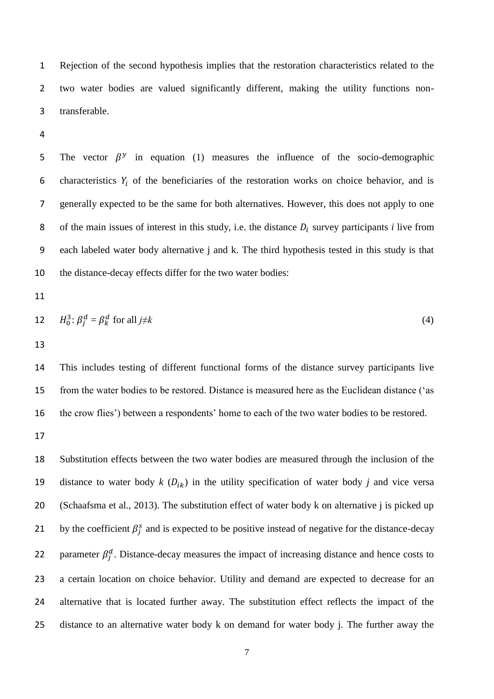Rejection of the second hypothesis implies that the restoration characteristics related to the two water bodies are valued significantly different, making the utility functions non-transferable.

5 The vector  $\beta^y$  in equation (1) measures the influence of the socio-demographic 6 characteristics  $Y_i$  of the beneficiaries of the restoration works on choice behavior, and is generally expected to be the same for both alternatives. However, this does not apply to one 8 of the main issues of interest in this study, i.e. the distance  $D_i$  survey participants *i* live from each labeled water body alternative j and k. The third hypothesis tested in this study is that the distance-decay effects differ for the two water bodies:

$$
12 \tH_0^3: \beta_j^d = \beta_k^d \t{for all } j \neq k
$$
\n
$$
(4)
$$

 This includes testing of different functional forms of the distance survey participants live from the water bodies to be restored. Distance is measured here as the Euclidean distance ('as the crow flies') between a respondents' home to each of the two water bodies to be restored.

 Substitution effects between the two water bodies are measured through the inclusion of the 19 distance to water body  $k$  ( $D_{ik}$ ) in the utility specification of water body *j* and vice versa (Schaafsma et al., 2013). The substitution effect of water body k on alternative j is picked up 21 by the coefficient  $\beta_j^s$  and is expected to be positive instead of negative for the distance-decay 22 parameter  $\beta_j^d$ . Distance-decay measures the impact of increasing distance and hence costs to a certain location on choice behavior. Utility and demand are expected to decrease for an alternative that is located further away. The substitution effect reflects the impact of the distance to an alternative water body k on demand for water body j. The further away the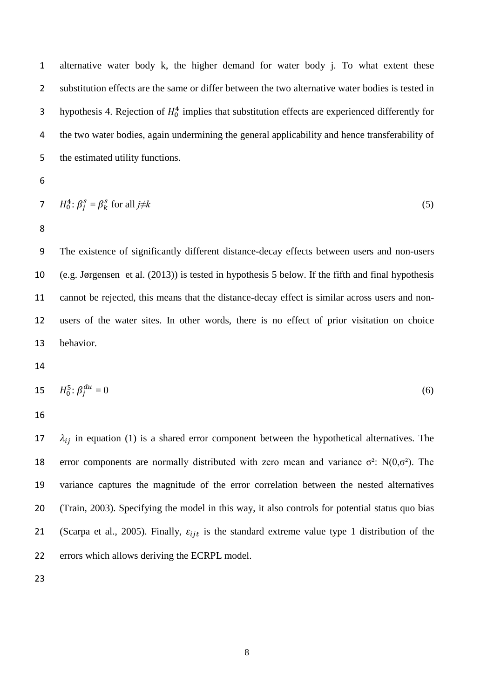alternative water body k, the higher demand for water body j. To what extent these substitution effects are the same or differ between the two alternative water bodies is tested in 3 hypothesis 4. Rejection of  $H_0^4$  implies that substitution effects are experienced differently for the two water bodies, again undermining the general applicability and hence transferability of the estimated utility functions.

$$
7 \tH_0^4: \beta_j^s = \beta_k^s \t{for all } j \neq k
$$
\n
$$
(5)
$$

 The existence of significantly different distance-decay effects between users and non-users (e.g. Jørgensen et al. (2013)) is tested in hypothesis 5 below. If the fifth and final hypothesis cannot be rejected, this means that the distance-decay effect is similar across users and non- users of the water sites. In other words, there is no effect of prior visitation on choice behavior.

$$
15 \tH_0^5: \beta_j^{du} = 0 \t\t(6)
$$

 $\lambda_{ij}$  in equation (1) is a shared error component between the hypothetical alternatives. The 18 error components are normally distributed with zero mean and variance  $\sigma^2$ : N(0, $\sigma^2$ ). The variance captures the magnitude of the error correlation between the nested alternatives (Train, 2003). Specifying the model in this way, it also controls for potential status quo bias 21 (Scarpa et al., 2005). Finally,  $\varepsilon_{ijt}$  is the standard extreme value type 1 distribution of the errors which allows deriving the ECRPL model.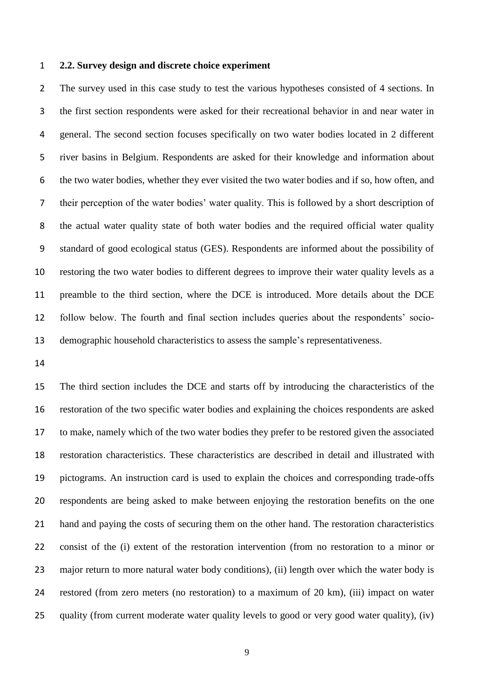#### **2.2. Survey design and discrete choice experiment**

 The survey used in this case study to test the various hypotheses consisted of 4 sections. In the first section respondents were asked for their recreational behavior in and near water in general. The second section focuses specifically on two water bodies located in 2 different river basins in Belgium. Respondents are asked for their knowledge and information about the two water bodies, whether they ever visited the two water bodies and if so, how often, and their perception of the water bodies' water quality. This is followed by a short description of the actual water quality state of both water bodies and the required official water quality standard of good ecological status (GES). Respondents are informed about the possibility of restoring the two water bodies to different degrees to improve their water quality levels as a preamble to the third section, where the DCE is introduced. More details about the DCE follow below. The fourth and final section includes queries about the respondents' socio-demographic household characteristics to assess the sample's representativeness.

 The third section includes the DCE and starts off by introducing the characteristics of the restoration of the two specific water bodies and explaining the choices respondents are asked to make, namely which of the two water bodies they prefer to be restored given the associated restoration characteristics. These characteristics are described in detail and illustrated with pictograms. An instruction card is used to explain the choices and corresponding trade-offs respondents are being asked to make between enjoying the restoration benefits on the one 21 hand and paying the costs of securing them on the other hand. The restoration characteristics consist of the (i) extent of the restoration intervention (from no restoration to a minor or major return to more natural water body conditions), (ii) length over which the water body is restored (from zero meters (no restoration) to a maximum of 20 km), (iii) impact on water quality (from current moderate water quality levels to good or very good water quality), (iv)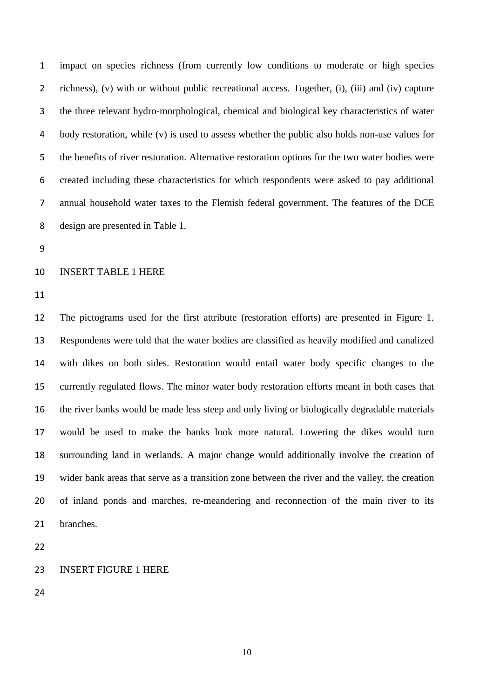impact on species richness (from currently low conditions to moderate or high species richness), (v) with or without public recreational access. Together, (i), (iii) and (iv) capture the three relevant hydro-morphological, chemical and biological key characteristics of water body restoration, while (v) is used to assess whether the public also holds non-use values for the benefits of river restoration. Alternative restoration options for the two water bodies were created including these characteristics for which respondents were asked to pay additional annual household water taxes to the Flemish federal government. The features of the DCE design are presented in Table 1.

#### INSERT TABLE 1 HERE

 The pictograms used for the first attribute (restoration efforts) are presented in Figure 1. Respondents were told that the water bodies are classified as heavily modified and canalized with dikes on both sides. Restoration would entail water body specific changes to the currently regulated flows. The minor water body restoration efforts meant in both cases that the river banks would be made less steep and only living or biologically degradable materials would be used to make the banks look more natural. Lowering the dikes would turn surrounding land in wetlands. A major change would additionally involve the creation of wider bank areas that serve as a transition zone between the river and the valley, the creation of inland ponds and marches, re-meandering and reconnection of the main river to its branches.

INSERT FIGURE 1 HERE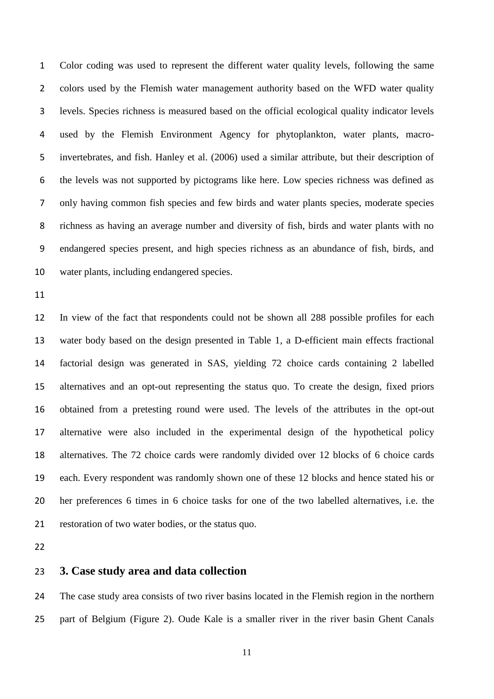Color coding was used to represent the different water quality levels, following the same colors used by the Flemish water management authority based on the WFD water quality levels. Species richness is measured based on the official ecological quality indicator levels used by the Flemish Environment Agency for phytoplankton, water plants, macro- invertebrates, and fish. Hanley et al. (2006) used a similar attribute, but their description of the levels was not supported by pictograms like here. Low species richness was defined as only having common fish species and few birds and water plants species, moderate species richness as having an average number and diversity of fish, birds and water plants with no endangered species present, and high species richness as an abundance of fish, birds, and water plants, including endangered species.

 In view of the fact that respondents could not be shown all 288 possible profiles for each water body based on the design presented in Table 1, a D-efficient main effects fractional factorial design was generated in SAS, yielding 72 choice cards containing 2 labelled alternatives and an opt-out representing the status quo. To create the design, fixed priors obtained from a pretesting round were used. The levels of the attributes in the opt-out alternative were also included in the experimental design of the hypothetical policy alternatives. The 72 choice cards were randomly divided over 12 blocks of 6 choice cards each. Every respondent was randomly shown one of these 12 blocks and hence stated his or her preferences 6 times in 6 choice tasks for one of the two labelled alternatives, i.e. the restoration of two water bodies, or the status quo.

## **3. Case study area and data collection**

 The case study area consists of two river basins located in the Flemish region in the northern part of Belgium (Figure 2). Oude Kale is a smaller river in the river basin Ghent Canals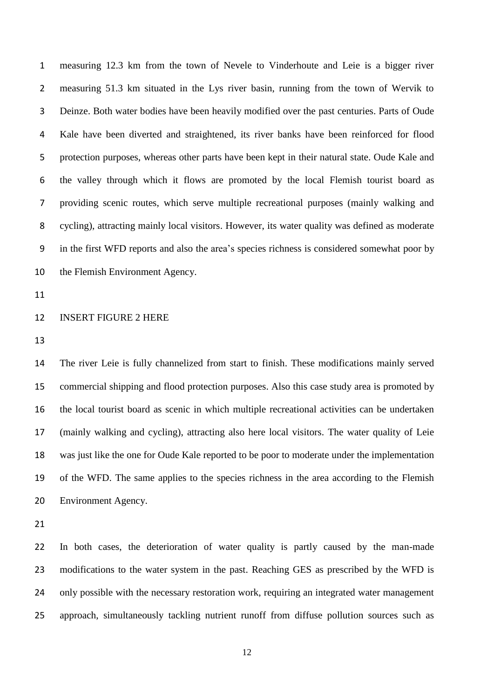measuring 12.3 km from the town of Nevele to Vinderhoute and Leie is a bigger river measuring 51.3 km situated in the Lys river basin, running from the town of Wervik to Deinze. Both water bodies have been heavily modified over the past centuries. Parts of Oude Kale have been diverted and straightened, its river banks have been reinforced for flood protection purposes, whereas other parts have been kept in their natural state. Oude Kale and the valley through which it flows are promoted by the local Flemish tourist board as providing scenic routes, which serve multiple recreational purposes (mainly walking and cycling), attracting mainly local visitors. However, its water quality was defined as moderate in the first WFD reports and also the area's species richness is considered somewhat poor by the Flemish Environment Agency.

#### INSERT FIGURE 2 HERE

 The river Leie is fully channelized from start to finish. These modifications mainly served commercial shipping and flood protection purposes. Also this case study area is promoted by the local tourist board as scenic in which multiple recreational activities can be undertaken (mainly walking and cycling), attracting also here local visitors. The water quality of Leie was just like the one for Oude Kale reported to be poor to moderate under the implementation of the WFD. The same applies to the species richness in the area according to the Flemish Environment Agency.

 In both cases, the deterioration of water quality is partly caused by the man-made modifications to the water system in the past. Reaching GES as prescribed by the WFD is only possible with the necessary restoration work, requiring an integrated water management approach, simultaneously tackling nutrient runoff from diffuse pollution sources such as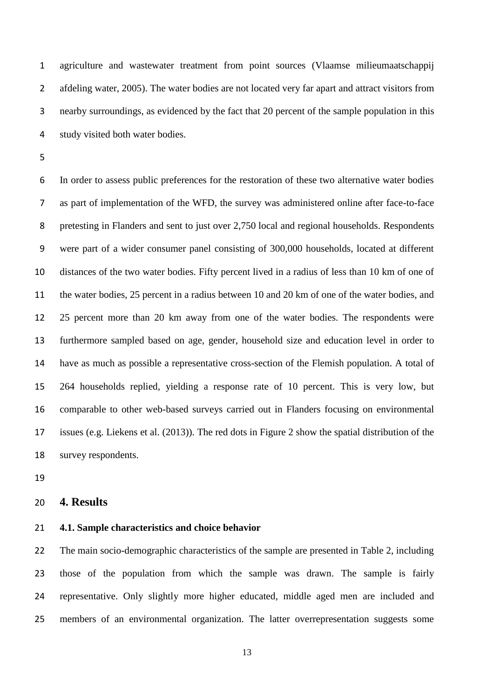agriculture and wastewater treatment from point sources (Vlaamse milieumaatschappij 2 afdeling water, 2005). The water bodies are not located very far apart and attract visitors from nearby surroundings, as evidenced by the fact that 20 percent of the sample population in this study visited both water bodies.

 In order to assess public preferences for the restoration of these two alternative water bodies as part of implementation of the WFD, the survey was administered online after face-to-face pretesting in Flanders and sent to just over 2,750 local and regional households. Respondents were part of a wider consumer panel consisting of 300,000 households, located at different distances of the two water bodies. Fifty percent lived in a radius of less than 10 km of one of the water bodies, 25 percent in a radius between 10 and 20 km of one of the water bodies, and 25 percent more than 20 km away from one of the water bodies. The respondents were furthermore sampled based on age, gender, household size and education level in order to have as much as possible a representative cross-section of the Flemish population. A total of 264 households replied, yielding a response rate of 10 percent. This is very low, but comparable to other web-based surveys carried out in Flanders focusing on environmental issues (e.g. Liekens et al. (2013)). The red dots in Figure 2 show the spatial distribution of the survey respondents.

#### **4. Results**

#### **4.1. Sample characteristics and choice behavior**

22 The main socio-demographic characteristics of the sample are presented in Table 2, including those of the population from which the sample was drawn. The sample is fairly representative. Only slightly more higher educated, middle aged men are included and members of an environmental organization. The latter overrepresentation suggests some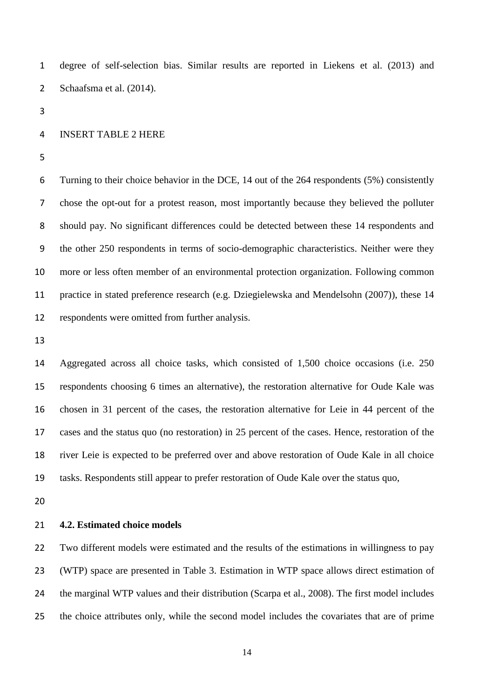degree of self-selection bias. Similar results are reported in Liekens et al. (2013) and 2 Schaafsma et al. (2014).

#### INSERT TABLE 2 HERE

 Turning to their choice behavior in the DCE, 14 out of the 264 respondents (5%) consistently chose the opt-out for a protest reason, most importantly because they believed the polluter should pay. No significant differences could be detected between these 14 respondents and the other 250 respondents in terms of socio-demographic characteristics. Neither were they more or less often member of an environmental protection organization. Following common practice in stated preference research (e.g. Dziegielewska and Mendelsohn (2007)), these 14 respondents were omitted from further analysis.

 Aggregated across all choice tasks, which consisted of 1,500 choice occasions (i.e. 250 respondents choosing 6 times an alternative), the restoration alternative for Oude Kale was chosen in 31 percent of the cases, the restoration alternative for Leie in 44 percent of the cases and the status quo (no restoration) in 25 percent of the cases. Hence, restoration of the river Leie is expected to be preferred over and above restoration of Oude Kale in all choice tasks. Respondents still appear to prefer restoration of Oude Kale over the status quo,

## **4.2. Estimated choice models**

 Two different models were estimated and the results of the estimations in willingness to pay (WTP) space are presented in Table 3. Estimation in WTP space allows direct estimation of the marginal WTP values and their distribution (Scarpa et al., 2008). The first model includes the choice attributes only, while the second model includes the covariates that are of prime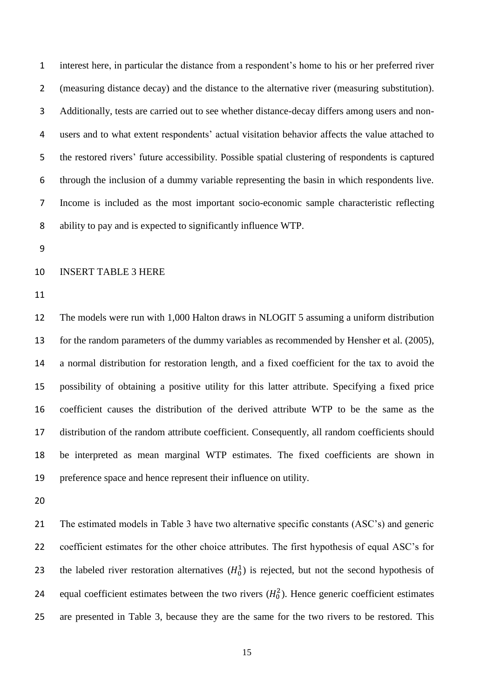interest here, in particular the distance from a respondent's home to his or her preferred river (measuring distance decay) and the distance to the alternative river (measuring substitution). Additionally, tests are carried out to see whether distance-decay differs among users and non- users and to what extent respondents' actual visitation behavior affects the value attached to the restored rivers' future accessibility. Possible spatial clustering of respondents is captured through the inclusion of a dummy variable representing the basin in which respondents live. Income is included as the most important socio-economic sample characteristic reflecting ability to pay and is expected to significantly influence WTP.

#### INSERT TABLE 3 HERE

 The models were run with 1,000 Halton draws in NLOGIT 5 assuming a uniform distribution for the random parameters of the dummy variables as recommended by Hensher et al. (2005), a normal distribution for restoration length, and a fixed coefficient for the tax to avoid the possibility of obtaining a positive utility for this latter attribute. Specifying a fixed price coefficient causes the distribution of the derived attribute WTP to be the same as the distribution of the random attribute coefficient. Consequently, all random coefficients should be interpreted as mean marginal WTP estimates. The fixed coefficients are shown in preference space and hence represent their influence on utility.

 The estimated models in Table 3 have two alternative specific constants (ASC's) and generic coefficient estimates for the other choice attributes. The first hypothesis of equal ASC's for 23 the labeled river restoration alternatives  $(H_0^1)$  is rejected, but not the second hypothesis of 24 equal coefficient estimates between the two rivers  $(H_0^2)$ . Hence generic coefficient estimates are presented in Table 3, because they are the same for the two rivers to be restored. This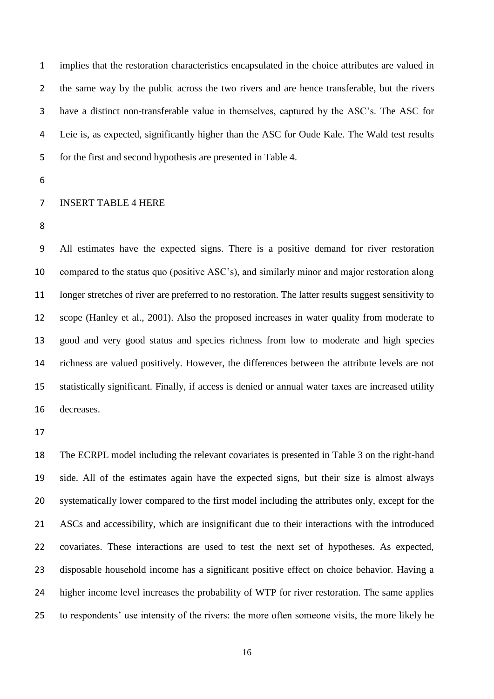implies that the restoration characteristics encapsulated in the choice attributes are valued in 2 the same way by the public across the two rivers and are hence transferable, but the rivers have a distinct non-transferable value in themselves, captured by the ASC's. The ASC for Leie is, as expected, significantly higher than the ASC for Oude Kale. The Wald test results for the first and second hypothesis are presented in Table 4.

#### INSERT TABLE 4 HERE

 All estimates have the expected signs. There is a positive demand for river restoration compared to the status quo (positive ASC's), and similarly minor and major restoration along longer stretches of river are preferred to no restoration. The latter results suggest sensitivity to scope (Hanley et al., 2001). Also the proposed increases in water quality from moderate to good and very good status and species richness from low to moderate and high species richness are valued positively. However, the differences between the attribute levels are not statistically significant. Finally, if access is denied or annual water taxes are increased utility decreases.

 The ECRPL model including the relevant covariates is presented in Table 3 on the right-hand side. All of the estimates again have the expected signs, but their size is almost always systematically lower compared to the first model including the attributes only, except for the ASCs and accessibility, which are insignificant due to their interactions with the introduced covariates. These interactions are used to test the next set of hypotheses. As expected, disposable household income has a significant positive effect on choice behavior. Having a higher income level increases the probability of WTP for river restoration. The same applies to respondents' use intensity of the rivers: the more often someone visits, the more likely he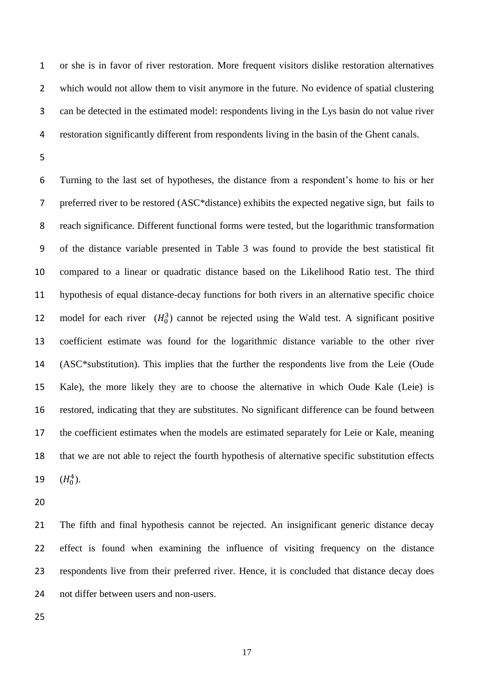or she is in favor of river restoration. More frequent visitors dislike restoration alternatives which would not allow them to visit anymore in the future. No evidence of spatial clustering can be detected in the estimated model: respondents living in the Lys basin do not value river restoration significantly different from respondents living in the basin of the Ghent canals.

 Turning to the last set of hypotheses, the distance from a respondent's home to his or her preferred river to be restored (ASC\*distance) exhibits the expected negative sign, but fails to reach significance. Different functional forms were tested, but the logarithmic transformation of the distance variable presented in Table 3 was found to provide the best statistical fit compared to a linear or quadratic distance based on the Likelihood Ratio test. The third hypothesis of equal distance-decay functions for both rivers in an alternative specific choice 12 model for each river  $(H_0^3)$  cannot be rejected using the Wald test. A significant positive coefficient estimate was found for the logarithmic distance variable to the other river (ASC\*substitution). This implies that the further the respondents live from the Leie (Oude Kale), the more likely they are to choose the alternative in which Oude Kale (Leie) is restored, indicating that they are substitutes. No significant difference can be found between the coefficient estimates when the models are estimated separately for Leie or Kale, meaning that we are not able to reject the fourth hypothesis of alternative specific substitution effects 19  $(H_0^4)$ .

 The fifth and final hypothesis cannot be rejected. An insignificant generic distance decay effect is found when examining the influence of visiting frequency on the distance respondents live from their preferred river. Hence, it is concluded that distance decay does not differ between users and non-users.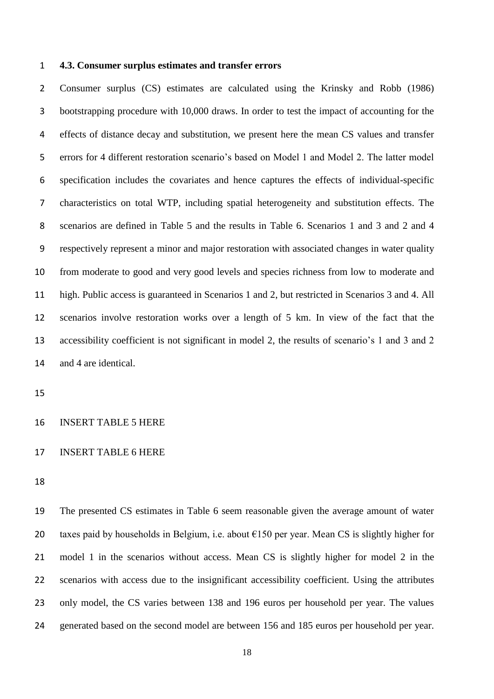#### **4.3. Consumer surplus estimates and transfer errors**

 Consumer surplus (CS) estimates are calculated using the Krinsky and Robb (1986) bootstrapping procedure with 10,000 draws. In order to test the impact of accounting for the effects of distance decay and substitution, we present here the mean CS values and transfer errors for 4 different restoration scenario's based on Model 1 and Model 2. The latter model specification includes the covariates and hence captures the effects of individual-specific characteristics on total WTP, including spatial heterogeneity and substitution effects. The scenarios are defined in Table 5 and the results in Table 6. Scenarios 1 and 3 and 2 and 4 respectively represent a minor and major restoration with associated changes in water quality from moderate to good and very good levels and species richness from low to moderate and high. Public access is guaranteed in Scenarios 1 and 2, but restricted in Scenarios 3 and 4. All scenarios involve restoration works over a length of 5 km. In view of the fact that the accessibility coefficient is not significant in model 2, the results of scenario's 1 and 3 and 2 and 4 are identical.

#### INSERT TABLE 5 HERE

#### INSERT TABLE 6 HERE

 The presented CS estimates in Table 6 seem reasonable given the average amount of water 20 taxes paid by households in Belgium, i.e. about  $\epsilon$ 150 per year. Mean CS is slightly higher for model 1 in the scenarios without access. Mean CS is slightly higher for model 2 in the scenarios with access due to the insignificant accessibility coefficient. Using the attributes only model, the CS varies between 138 and 196 euros per household per year. The values generated based on the second model are between 156 and 185 euros per household per year.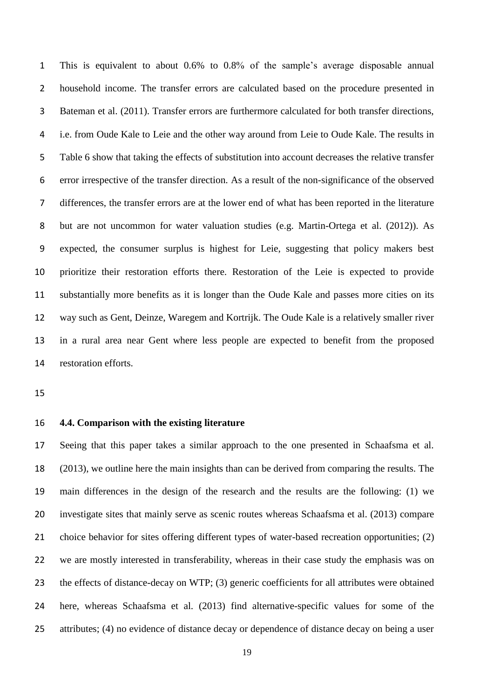This is equivalent to about 0.6% to 0.8% of the sample's average disposable annual household income. The transfer errors are calculated based on the procedure presented in Bateman et al. (2011). Transfer errors are furthermore calculated for both transfer directions, i.e. from Oude Kale to Leie and the other way around from Leie to Oude Kale. The results in Table 6 show that taking the effects of substitution into account decreases the relative transfer error irrespective of the transfer direction. As a result of the non-significance of the observed differences, the transfer errors are at the lower end of what has been reported in the literature but are not uncommon for water valuation studies (e.g. Martin-Ortega et al. (2012)). As expected, the consumer surplus is highest for Leie, suggesting that policy makers best prioritize their restoration efforts there. Restoration of the Leie is expected to provide substantially more benefits as it is longer than the Oude Kale and passes more cities on its way such as Gent, Deinze, Waregem and Kortrijk. The Oude Kale is a relatively smaller river in a rural area near Gent where less people are expected to benefit from the proposed restoration efforts.

**4.4. Comparison with the existing literature**

 Seeing that this paper takes a similar approach to the one presented in Schaafsma et al. (2013), we outline here the main insights than can be derived from comparing the results. The main differences in the design of the research and the results are the following: (1) we investigate sites that mainly serve as scenic routes whereas Schaafsma et al. (2013) compare choice behavior for sites offering different types of water-based recreation opportunities; (2) we are mostly interested in transferability, whereas in their case study the emphasis was on the effects of distance-decay on WTP; (3) generic coefficients for all attributes were obtained here, whereas Schaafsma et al. (2013) find alternative-specific values for some of the attributes; (4) no evidence of distance decay or dependence of distance decay on being a user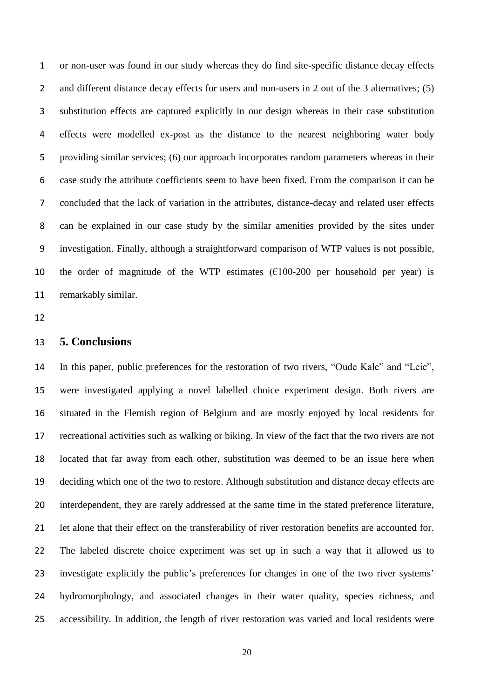or non-user was found in our study whereas they do find site-specific distance decay effects 2 and different distance decay effects for users and non-users in 2 out of the 3 alternatives; (5) substitution effects are captured explicitly in our design whereas in their case substitution effects were modelled ex-post as the distance to the nearest neighboring water body providing similar services; (6) our approach incorporates random parameters whereas in their case study the attribute coefficients seem to have been fixed. From the comparison it can be concluded that the lack of variation in the attributes, distance-decay and related user effects can be explained in our case study by the similar amenities provided by the sites under investigation. Finally, although a straightforward comparison of WTP values is not possible, 10 the order of magnitude of the WTP estimates  $(\text{\textsterling}100\text{-}200)$  per household per year) is remarkably similar.

#### **5. Conclusions**

 In this paper, public preferences for the restoration of two rivers, "Oude Kale" and "Leie", were investigated applying a novel labelled choice experiment design. Both rivers are situated in the Flemish region of Belgium and are mostly enjoyed by local residents for recreational activities such as walking or biking. In view of the fact that the two rivers are not located that far away from each other, substitution was deemed to be an issue here when deciding which one of the two to restore. Although substitution and distance decay effects are interdependent, they are rarely addressed at the same time in the stated preference literature, let alone that their effect on the transferability of river restoration benefits are accounted for. The labeled discrete choice experiment was set up in such a way that it allowed us to investigate explicitly the public's preferences for changes in one of the two river systems' hydromorphology, and associated changes in their water quality, species richness, and accessibility. In addition, the length of river restoration was varied and local residents were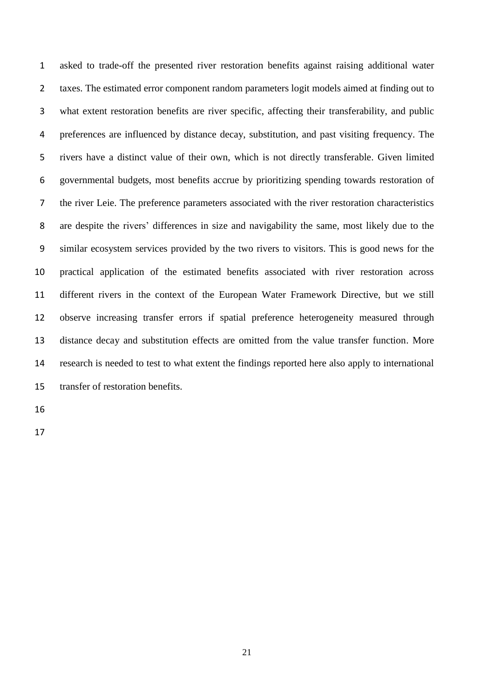asked to trade-off the presented river restoration benefits against raising additional water taxes. The estimated error component random parameters logit models aimed at finding out to what extent restoration benefits are river specific, affecting their transferability, and public preferences are influenced by distance decay, substitution, and past visiting frequency. The rivers have a distinct value of their own, which is not directly transferable. Given limited governmental budgets, most benefits accrue by prioritizing spending towards restoration of the river Leie. The preference parameters associated with the river restoration characteristics are despite the rivers' differences in size and navigability the same, most likely due to the similar ecosystem services provided by the two rivers to visitors. This is good news for the practical application of the estimated benefits associated with river restoration across different rivers in the context of the European Water Framework Directive, but we still observe increasing transfer errors if spatial preference heterogeneity measured through distance decay and substitution effects are omitted from the value transfer function. More research is needed to test to what extent the findings reported here also apply to international transfer of restoration benefits.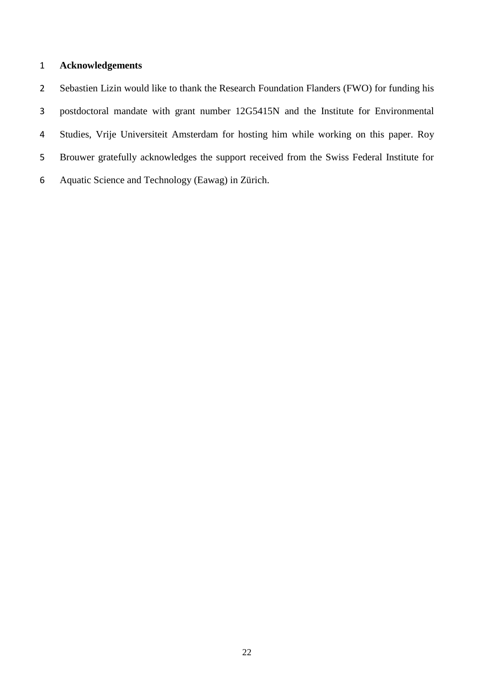# **Acknowledgements**

2 Sebastien Lizin would like to thank the Research Foundation Flanders (FWO) for funding his postdoctoral mandate with grant number 12G5415N and the Institute for Environmental Studies, Vrije Universiteit Amsterdam for hosting him while working on this paper. Roy Brouwer gratefully acknowledges the support received from the Swiss Federal Institute for Aquatic Science and Technology (Eawag) in Zürich.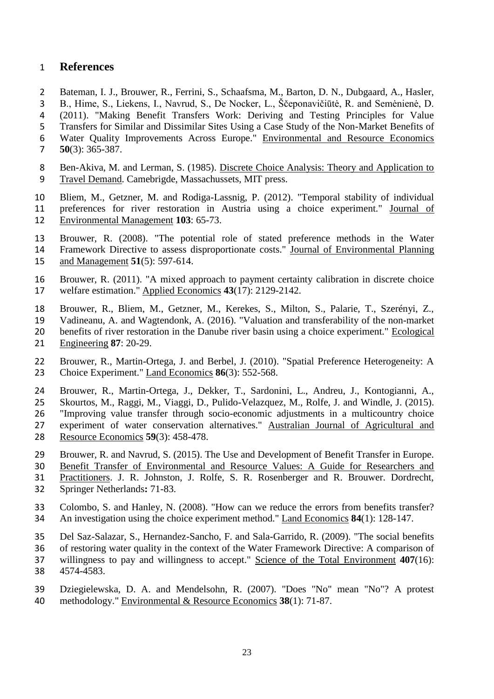# **References**

- Bateman, I. J., Brouwer, R., Ferrini, S., Schaafsma, M., Barton, D. N., Dubgaard, A., Hasler,
- B., Hime, S., Liekens, I., Navrud, S., De Nocker, L., Ščeponavičiūtė, R. and Semėnienė, D.
- (2011). "Making Benefit Transfers Work: Deriving and Testing Principles for Value
- Transfers for Similar and Dissimilar Sites Using a Case Study of the Non-Market Benefits of
- Water Quality Improvements Across Europe." Environmental and Resource Economics
- **50**(3): 365-387.
- 8 Ben-Akiva, M. and Lerman, S. (1985). Discrete Choice Analysis: Theory and Application to Travel Demand. Camebrigde, Massachussets, MIT press.
- Bliem, M., Getzner, M. and Rodiga-Lassnig, P. (2012). "Temporal stability of individual preferences for river restoration in Austria using a choice experiment." Journal of Environmental Management **103**: 65-73.
- Brouwer, R. (2008). "The potential role of stated preference methods in the Water Framework Directive to assess disproportionate costs." Journal of Environmental Planning
- and Management **51**(5): 597-614.
- Brouwer, R. (2011). "A mixed approach to payment certainty calibration in discrete choice welfare estimation." Applied Economics **43**(17): 2129-2142.
- Brouwer, R., Bliem, M., Getzner, M., Kerekes, S., Milton, S., Palarie, T., Szerényi, Z., Vadineanu, A. and Wagtendonk, A. (2016). "Valuation and transferability of the non-market benefits of river restoration in the Danube river basin using a choice experiment." Ecological Engineering **87**: 20-29.
- Brouwer, R., Martin-Ortega, J. and Berbel, J. (2010). "Spatial Preference Heterogeneity: A Choice Experiment." Land Economics **86**(3): 552-568.
- Brouwer, R., Martin-Ortega, J., Dekker, T., Sardonini, L., Andreu, J., Kontogianni, A.,
- Skourtos, M., Raggi, M., Viaggi, D., Pulido-Velazquez, M., Rolfe, J. and Windle, J. (2015). "Improving value transfer through socio-economic adjustments in a multicountry choice experiment of water conservation alternatives." Australian Journal of Agricultural and Resource Economics **59**(3): 458-478.
- Brouwer, R. and Navrud, S. (2015). The Use and Development of Benefit Transfer in Europe.
- Benefit Transfer of Environmental and Resource Values: A Guide for Researchers and Practitioners. J. R. Johnston, J. Rolfe, S. R. Rosenberger and R. Brouwer. Dordrecht, Springer Netherlands**:** 71-83.
- Colombo, S. and Hanley, N. (2008). "How can we reduce the errors from benefits transfer? An investigation using the choice experiment method." Land Economics **84**(1): 128-147.
- Del Saz-Salazar, S., Hernandez-Sancho, F. and Sala-Garrido, R. (2009). "The social benefits of restoring water quality in the context of the Water Framework Directive: A comparison of willingness to pay and willingness to accept." Science of the Total Environment **407**(16): 4574-4583.
- Dziegielewska, D. A. and Mendelsohn, R. (2007). "Does "No" mean "No"? A protest methodology." Environmental & Resource Economics **38**(1): 71-87.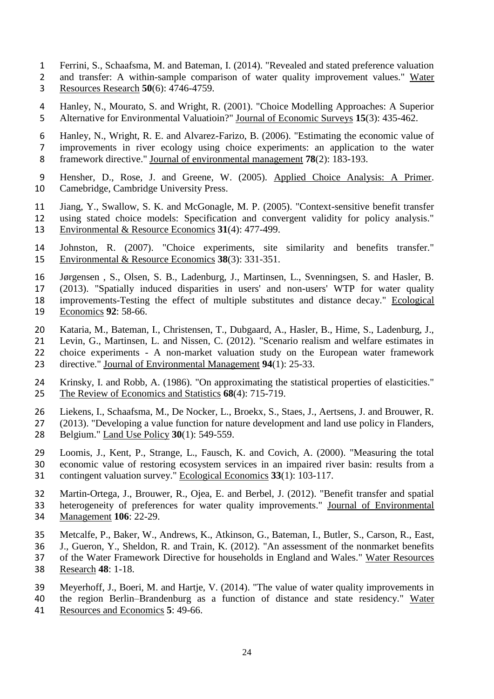- Ferrini, S., Schaafsma, M. and Bateman, I. (2014). "Revealed and stated preference valuation
- and transfer: A within-sample comparison of water quality improvement values." Water
- Resources Research **50**(6): 4746-4759.
- Hanley, N., Mourato, S. and Wright, R. (2001). "Choice Modelling Approaches: A Superior Alternative for Environmental Valuatioin?" Journal of Economic Surveys **15**(3): 435-462.
- Hanley, N., Wright, R. E. and Alvarez-Farizo, B. (2006). "Estimating the economic value of improvements in river ecology using choice experiments: an application to the water framework directive." Journal of environmental management **78**(2): 183-193.
- Hensher, D., Rose, J. and Greene, W. (2005). Applied Choice Analysis: A Primer. Camebridge, Cambridge University Press.
- Jiang, Y., Swallow, S. K. and McGonagle, M. P. (2005). "Context-sensitive benefit transfer using stated choice models: Specification and convergent validity for policy analysis." Environmental & Resource Economics **31**(4): 477-499.
- Johnston, R. (2007). "Choice experiments, site similarity and benefits transfer." Environmental & Resource Economics **38**(3): 331-351.
- Jørgensen , S., Olsen, S. B., Ladenburg, J., Martinsen, L., Svenningsen, S. and Hasler, B.
- (2013). "Spatially induced disparities in users' and non-users' WTP for water quality
- improvements-Testing the effect of multiple substitutes and distance decay." Ecological
- Economics **92**: 58-66.
- Kataria, M., Bateman, I., Christensen, T., Dubgaard, A., Hasler, B., Hime, S., Ladenburg, J.,
- Levin, G., Martinsen, L. and Nissen, C. (2012). "Scenario realism and welfare estimates in choice experiments - A non-market valuation study on the European water framework directive." Journal of Environmental Management **94**(1): 25-33.
- Krinsky, I. and Robb, A. (1986). "On approximating the statistical properties of elasticities." The Review of Economics and Statistics **68**(4): 715-719.
- Liekens, I., Schaafsma, M., De Nocker, L., Broekx, S., Staes, J., Aertsens, J. and Brouwer, R. (2013). "Developing a value function for nature development and land use policy in Flanders, Belgium." Land Use Policy **30**(1): 549-559.
- Loomis, J., Kent, P., Strange, L., Fausch, K. and Covich, A. (2000). "Measuring the total economic value of restoring ecosystem services in an impaired river basin: results from a contingent valuation survey." Ecological Economics **33**(1): 103-117.
- Martin-Ortega, J., Brouwer, R., Ojea, E. and Berbel, J. (2012). "Benefit transfer and spatial
- heterogeneity of preferences for water quality improvements." Journal of Environmental Management **106**: 22-29.
- Metcalfe, P., Baker, W., Andrews, K., Atkinson, G., Bateman, I., Butler, S., Carson, R., East,
- J., Gueron, Y., Sheldon, R. and Train, K. (2012). "An assessment of the nonmarket benefits of the Water Framework Directive for households in England and Wales." Water Resources
- Research **48**: 1-18.
- Meyerhoff, J., Boeri, M. and Hartje, V. (2014). "The value of water quality improvements in
- the region Berlin–Brandenburg as a function of distance and state residency." Water
- Resources and Economics **5**: 49-66.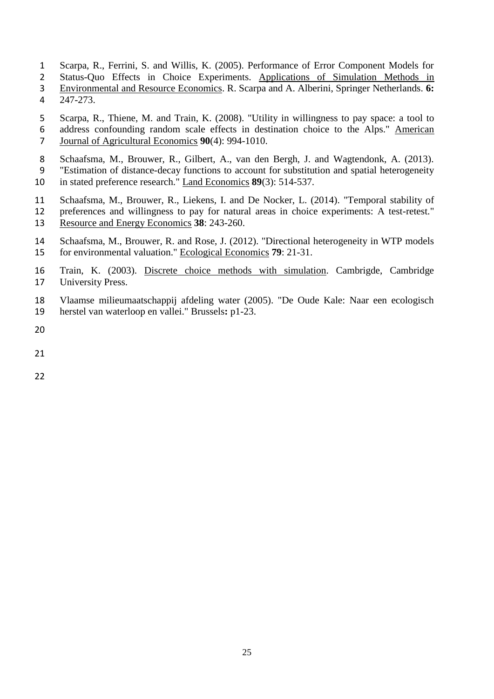- Scarpa, R., Ferrini, S. and Willis, K. (2005). Performance of Error Component Models for
- Status-Quo Effects in Choice Experiments. Applications of Simulation Methods in
- Environmental and Resource Economics. R. Scarpa and A. Alberini, Springer Netherlands. **6:**
- 247-273.
- Scarpa, R., Thiene, M. and Train, K. (2008). "Utility in willingness to pay space: a tool to address confounding random scale effects in destination choice to the Alps." American Journal of Agricultural Economics **90**(4): 994-1010.
- 
- Schaafsma, M., Brouwer, R., Gilbert, A., van den Bergh, J. and Wagtendonk, A. (2013).
- "Estimation of distance-decay functions to account for substitution and spatial heterogeneity in stated preference research." Land Economics **89**(3): 514-537.
- Schaafsma, M., Brouwer, R., Liekens, I. and De Nocker, L. (2014). "Temporal stability of preferences and willingness to pay for natural areas in choice experiments: A test-retest."
- Resource and Energy Economics **38**: 243-260.
- Schaafsma, M., Brouwer, R. and Rose, J. (2012). "Directional heterogeneity in WTP models for environmental valuation." Ecological Economics **79**: 21-31.
- Train, K. (2003). Discrete choice methods with simulation. Cambrigde, Cambridge University Press.
- Vlaamse milieumaatschappij afdeling water (2005). "De Oude Kale: Naar een ecologisch herstel van waterloop en vallei." Brussels**:** p1-23.
- 
- 
-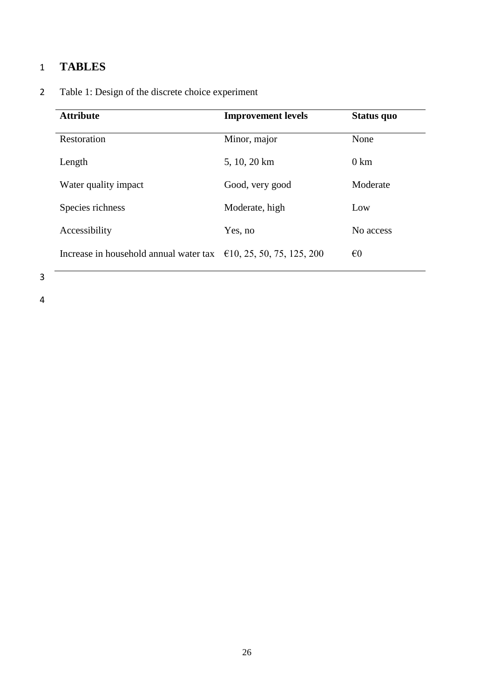# 1 **TABLES**

| $\overline{2}$ |  |  |  |  |  |  | Table 1: Design of the discrete choice experiment |  |
|----------------|--|--|--|--|--|--|---------------------------------------------------|--|
|----------------|--|--|--|--|--|--|---------------------------------------------------|--|

| <b>Attribute</b>                       | <b>Improvement levels</b>           | Status quo     |
|----------------------------------------|-------------------------------------|----------------|
| Restoration                            | Minor, major                        | None           |
| Length                                 | 5, 10, 20 km                        | $0 \text{ km}$ |
| Water quality impact                   | Good, very good                     | Moderate       |
| Species richness                       | Moderate, high                      | Low            |
| Accessibility                          | Yes, no                             | No access      |
| Increase in household annual water tax | $\epsilon$ 10, 25, 50, 75, 125, 200 | $\epsilon$ 0   |

3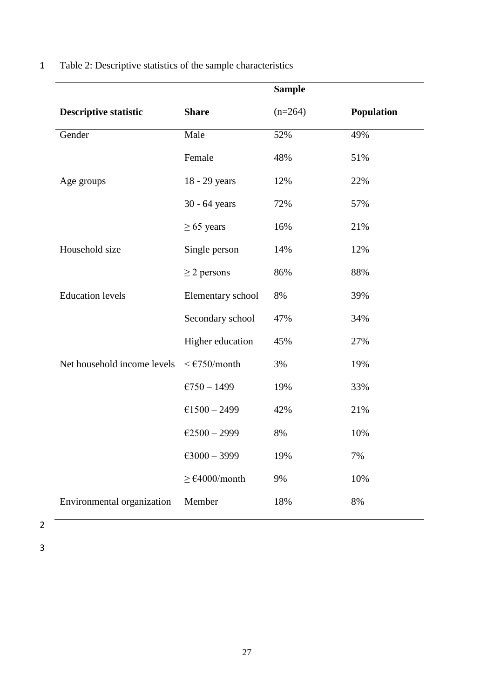1 Table 2: Descriptive statistics of the sample characteristics

|                              |                          | <b>Sample</b> |                   |
|------------------------------|--------------------------|---------------|-------------------|
| <b>Descriptive statistic</b> | <b>Share</b>             | $(n=264)$     | <b>Population</b> |
| Gender                       | Male                     | 52%           | 49%               |
|                              | Female                   | 48%           | 51%               |
| Age groups                   | 18 - 29 years            | 12%           | 22%               |
|                              | 30 - 64 years            | 72%           | 57%               |
|                              | $\geq 65$ years          | 16%           | 21%               |
| Household size               | Single person            | 14%           | 12%               |
|                              | $\geq$ 2 persons         | 86%           | 88%               |
| <b>Education levels</b>      | Elementary school        | 8%            | 39%               |
|                              | Secondary school         | 47%           | 34%               |
|                              | Higher education         | 45%           | 27%               |
| Net household income levels  | $<$ $\epsilon$ 750/month | 3%            | 19%               |
|                              | €750 - 1499              | 19%           | 33%               |
|                              | €1500 - 2499             | 42%           | 21%               |
|                              | €2500 - 2999             | $8\%$         | 10%               |
|                              | €3000 - 3999             | 19%           | 7%                |
|                              | ≥ €4000/month            | 9%            | 10%               |
| Environmental organization   | Member                   | 18%           | 8%                |

2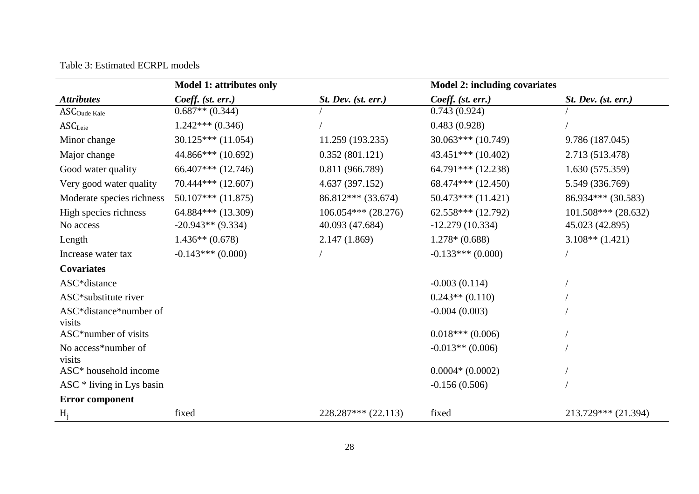| Table 3: Estimated ECRPL models |  |
|---------------------------------|--|
|---------------------------------|--|

|                                        | Model 1: attributes only |                       | <b>Model 2: including covariates</b> |                       |
|----------------------------------------|--------------------------|-----------------------|--------------------------------------|-----------------------|
| <b>Attributes</b>                      | Coeff. (st. err.)        | St. Dev. (st. err.)   | Coeff. (st. err.)                    | St. Dev. (st. err.)   |
| $ASC_{\text{Oude Kale}}$               | $0.687**$ $(0.344)$      |                       | 0.743(0.924)                         |                       |
| ASCLeie                                | $1.242***(0.346)$        |                       | 0.483(0.928)                         |                       |
| Minor change                           | $30.125***(11.054)$      | 11.259 (193.235)      | $30.063***(10.749)$                  | 9.786 (187.045)       |
| Major change                           | 44.866*** (10.692)       | 0.352(801.121)        | $43.451***(10.402)$                  | 2.713 (513.478)       |
| Good water quality                     | $66.407***$ (12.746)     | 0.811(966.789)        | $64.791***$ (12.238)                 | 1.630(575.359)        |
| Very good water quality                | $70.444***$ (12.607)     | 4.637 (397.152)       | $68.474***$ (12.450)                 | 5.549 (336.769)       |
| Moderate species richness              | $50.107***(11.875)$      | $86.812***$ (33.674)  | $50.473***(11.421)$                  | 86.934*** (30.583)    |
| High species richness                  | 64.884*** (13.309)       | $106.054***$ (28.276) | $62.558***(12.792)$                  | $101.508***$ (28.632) |
| No access                              | $-20.943**$ (9.334)      | 40.093 (47.684)       | $-12.279(10.334)$                    | 45.023 (42.895)       |
| Length                                 | $1.436**$ (0.678)        | 2.147(1.869)          | $1.278*(0.688)$                      | $3.108**$ (1.421)     |
| Increase water tax                     | $-0.143***(0.000)$       |                       | $-0.133***(0.000)$                   |                       |
| <b>Covariates</b>                      |                          |                       |                                      |                       |
| ASC*distance                           |                          |                       | $-0.003(0.114)$                      |                       |
| ASC*substitute river                   |                          |                       | $0.243**$ (0.110)                    |                       |
| ASC*distance*number of                 |                          |                       | $-0.004(0.003)$                      |                       |
| visits<br>ASC*number of visits         |                          |                       | $0.018***(0.006)$                    |                       |
| No access*number of                    |                          |                       | $-0.013**$ (0.006)                   |                       |
| visits                                 |                          |                       |                                      |                       |
| ASC <sup>*</sup> household income      |                          |                       | $0.0004*(0.0002)$                    |                       |
| $\overline{ASC}$ * living in Lys basin |                          |                       | $-0.156(0.506)$                      |                       |
| <b>Error component</b>                 |                          |                       |                                      |                       |
| $H_j$                                  | fixed                    | $228.287***$ (22.113) | fixed                                | 213.729*** (21.394)   |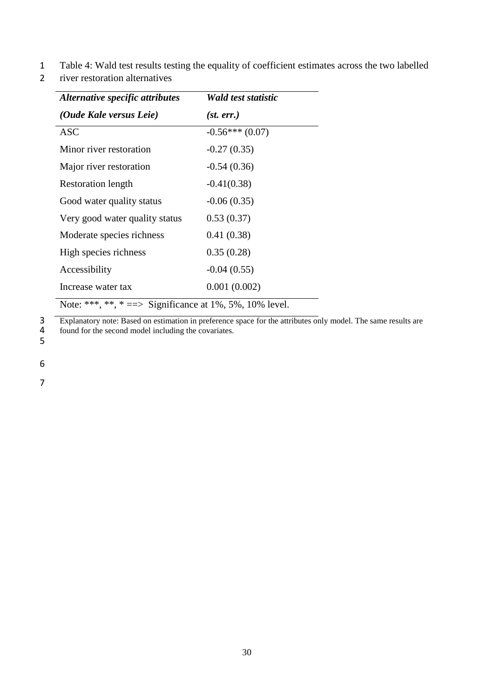- 1 Table 4: Wald test results testing the equality of coefficient estimates across the two labelled
- 2 river restoration alternatives

| Alternative specific attributes                         | Wald test statistic |
|---------------------------------------------------------|---------------------|
| <i>(Oude Kale versus Leie)</i>                          | (st. err.)          |
| <b>ASC</b>                                              | $-0.56***(0.07)$    |
| Minor river restoration                                 | $-0.27(0.35)$       |
| Major river restoration                                 | $-0.54(0.36)$       |
| <b>Restoration length</b>                               | $-0.41(0.38)$       |
| Good water quality status                               | $-0.06(0.35)$       |
| Very good water quality status                          | 0.53(0.37)          |
| Moderate species richness                               | 0.41(0.38)          |
| High species richness                                   | 0.35(0.28)          |
| Accessibility                                           | $-0.04(0.55)$       |
| Increase water tax                                      | 0.001(0.002)        |
| Note: ***, **, * = > Significance at 1%, 5%, 10% level. |                     |

3 Explanatory note: Based on estimation in preference space for the attributes only model. The same results are 4 found for the second model including the covariates.

5

6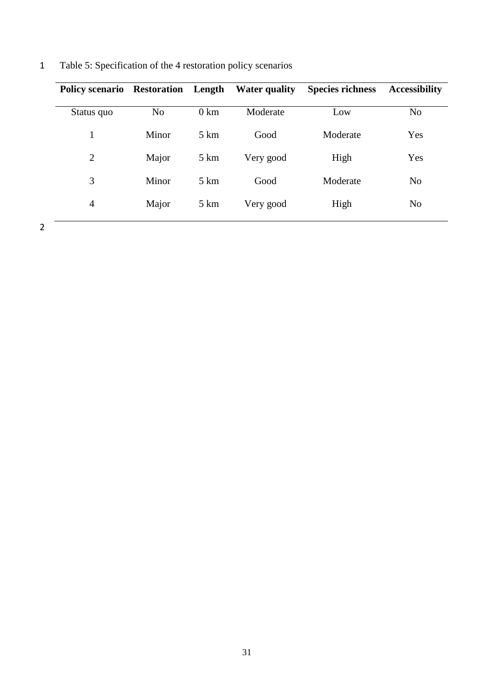| <b>Policy scenario</b> | <b>Restoration</b> | Length          | <b>Water quality</b> | <b>Species richness</b> | <b>Accessibility</b> |
|------------------------|--------------------|-----------------|----------------------|-------------------------|----------------------|
| Status quo             | N <sub>o</sub>     | $0 \text{ km}$  | Moderate             | Low                     | N <sub>o</sub>       |
|                        | Minor              | $5 \mathrm{km}$ | Good                 | Moderate                | Yes                  |
| $\overline{2}$         | Major              | $5 \mathrm{km}$ | Very good            | High                    | Yes                  |
| 3                      | Minor              | $5 \mathrm{km}$ | Good                 | Moderate                | N <sub>o</sub>       |
| $\overline{4}$         | Major              | $5 \mathrm{km}$ | Very good            | High                    | N <sub>o</sub>       |

# Table 5: Specification of the 4 restoration policy scenarios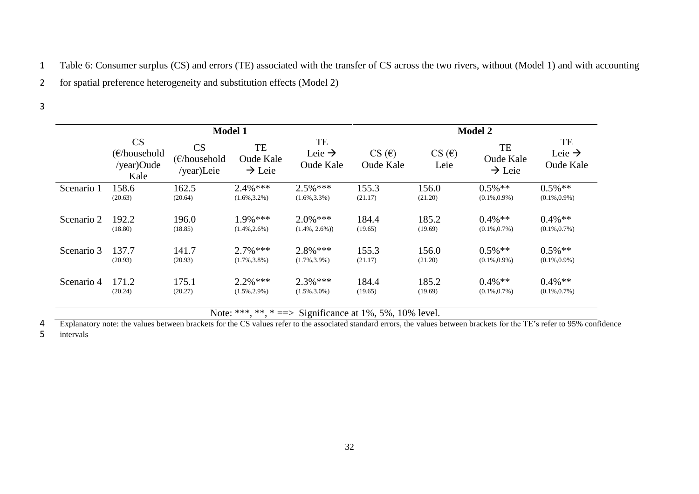1 Table 6: Consumer surplus (CS) and errors (TE) associated with the transfer of CS across the two rivers, without (Model 1) and with accounting

2 for spatial preference heterogeneity and substitution effects (Model 2)

3

|            | <b>Model 1</b>                           |                                  |                                              |                                              |                                      | <b>Model 2</b>           |                                              |                                              |
|------------|------------------------------------------|----------------------------------|----------------------------------------------|----------------------------------------------|--------------------------------------|--------------------------|----------------------------------------------|----------------------------------------------|
|            | CS<br>(E/household<br>/year)Oude<br>Kale | CS<br>(E/household<br>/year)Leie | TE<br><b>Oude Kale</b><br>$\rightarrow$ Leie | TE<br>Leie $\rightarrow$<br><b>Oude Kale</b> | $CS( \epsilon )$<br><b>Oude Kale</b> | $CS( \epsilon )$<br>Leie | TE<br><b>Oude Kale</b><br>$\rightarrow$ Leie | TE<br>Leie $\rightarrow$<br><b>Oude Kale</b> |
| Scenario 1 | 158.6                                    | 162.5                            | $2.4\%***$                                   | $2.5\%$ ***                                  | 155.3                                | 156.0                    | $0.5\%$ **                                   | $0.5\%**$                                    |
|            | (20.63)                                  | (20.64)                          | $(1.6\%, 3.2\%)$                             | $(1.6\%, 3.3\%)$                             | (21.17)                              | (21.20)                  | $(0.1\%, 0.9\%)$                             | $(0.1\%, 0.9\%)$                             |
| Scenario 2 | 192.2                                    | 196.0                            | $1.9\%***$                                   | $2.0\%***$                                   | 184.4                                | 185.2                    | $0.4\%$ **                                   | $0.4\%$ **                                   |
|            | (18.80)                                  | (18.85)                          | $(1.4\%, 2.6\%)$                             | $(1.4\%, 2.6\%)$                             | (19.65)                              | (19.69)                  | $(0.1\%, 0.7\%)$                             | $(0.1\%, 0.7\%)$                             |
| Scenario 3 | 137.7                                    | 141.7                            | $2.7\%***$                                   | $2.8\%$ ***                                  | 155.3                                | 156.0                    | $0.5\%**$                                    | $0.5\%**$                                    |
|            | (20.93)                                  | (20.93)                          | $(1.7\%, 3.8\%)$                             | $(1.7\%, 3.9\%)$                             | (21.17)                              | (21.20)                  | $(0.1\%, 0.9\%)$                             | $(0.1\%, 0.9\%)$                             |
| Scenario 4 | 171.2                                    | 175.1                            | $2.2\%***$                                   | $2.3\%$ ***                                  | 184.4                                | 185.2                    | $0.4\%$ **                                   | $0.4\%$ **                                   |
|            | (20.24)                                  | (20.27)                          | $(1.5\%, 2.9\%)$                             | $(1.5\%, 3.0\%)$                             | (19.65)                              | (19.69)                  | $(0.1\%, 0.7\%)$                             | $(0.1\%, 0.7\%)$                             |

Note: \*\*\*, \*\*, \* = > Significance at  $1\%$ , 5%, 10% level.

4 Explanatory note: the values between brackets for the CS values refer to the associated standard errors, the values between brackets for the TE's refer to 95% confidence 5 intervals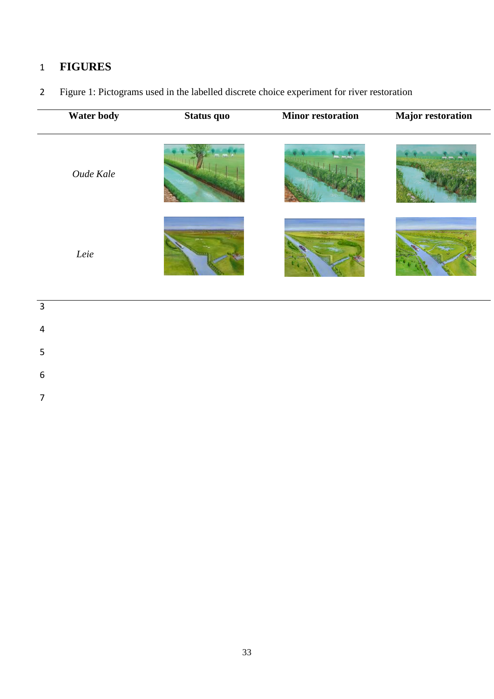# **FIGURES**

Figure 1: Pictograms used in the labelled discrete choice experiment for river restoration

| Water body | Status quo | <b>Minor restoration</b> | <b>Major restoration</b> |
|------------|------------|--------------------------|--------------------------|
| Oude Kale  |            |                          |                          |
| Leie       |            |                          |                          |

- 
-